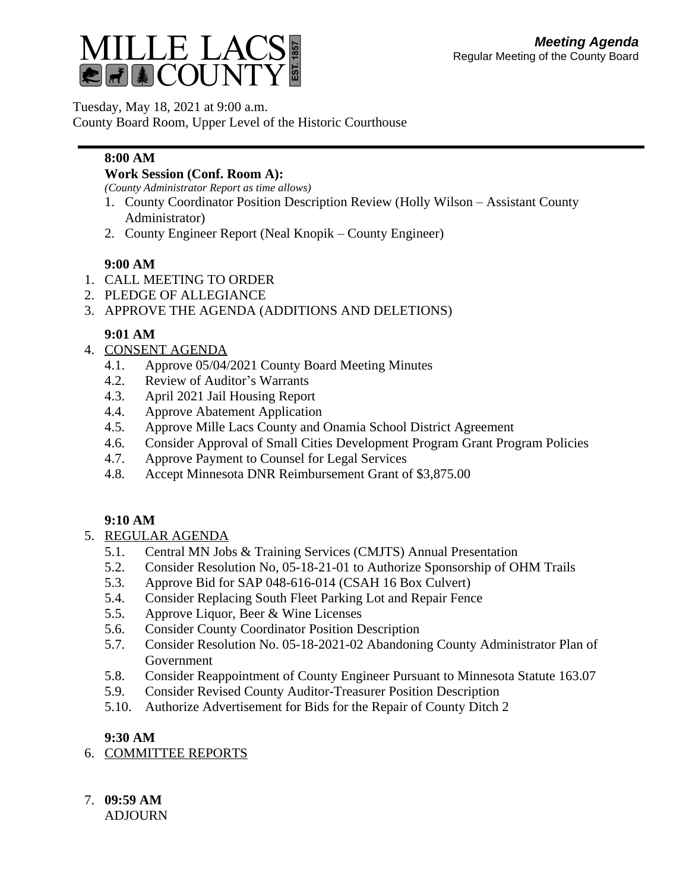

Tuesday, May 18, 2021 at 9:00 a.m.

County Board Room, Upper Level of the Historic Courthouse

## **8:00 AM**

#### **Work Session (Conf. Room A):**

*(County Administrator Report as time allows)*

- 1. County Coordinator Position Description Review (Holly Wilson Assistant County Administrator)
- 2. County Engineer Report (Neal Knopik County Engineer)

#### **9:00 AM**

- 1. CALL MEETING TO ORDER
- 2. PLEDGE OF ALLEGIANCE
- 3. APPROVE THE AGENDA (ADDITIONS AND DELETIONS)

# **9:01 AM**

- 4. CONSENT AGENDA
	- 4.1. Approve 05/04/2021 County Board Meeting Minutes
	- 4.2. Review of Auditor's Warrants
	- 4.3. April 2021 Jail Housing Report
	- 4.4. Approve Abatement Application
	- 4.5. Approve Mille Lacs County and Onamia School District Agreement
	- 4.6. Consider Approval of Small Cities Development Program Grant Program Policies
	- 4.7. Approve Payment to Counsel for Legal Services
	- 4.8. Accept Minnesota DNR Reimbursement Grant of \$3,875.00

## **9:10 AM**

#### 5. REGULAR AGENDA

- 5.1. Central MN Jobs & Training Services (CMJTS) Annual Presentation
- 5.2. Consider Resolution No, 05-18-21-01 to Authorize Sponsorship of OHM Trails
- 5.3. Approve Bid for SAP 048-616-014 (CSAH 16 Box Culvert)
- 5.4. Consider Replacing South Fleet Parking Lot and Repair Fence
- 5.5. Approve Liquor, Beer & Wine Licenses
- 5.6. Consider County Coordinator Position Description
- 5.7. Consider Resolution No. 05-18-2021-02 Abandoning County Administrator Plan of Government
- 5.8. Consider Reappointment of County Engineer Pursuant to Minnesota Statute 163.07
- 5.9. Consider Revised County Auditor-Treasurer Position Description
- 5.10. Authorize Advertisement for Bids for the Repair of County Ditch 2

## **9:30 AM**

- 6. COMMITTEE REPORTS
- 7. **09:59 AM**

ADJOURN